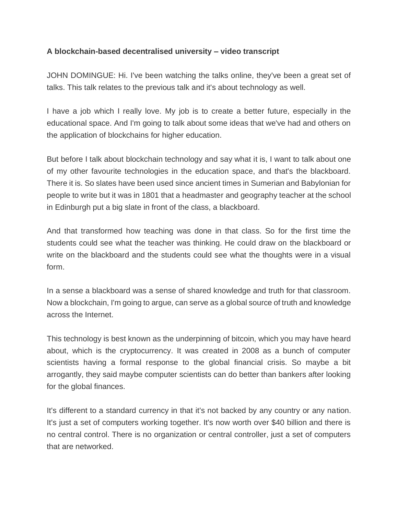## **A blockchain-based decentralised university – video transcript**

JOHN DOMINGUE: Hi. I've been watching the talks online, they've been a great set of talks. This talk relates to the previous talk and it's about technology as well.

I have a job which I really love. My job is to create a better future, especially in the educational space. And I'm going to talk about some ideas that we've had and others on the application of blockchains for higher education.

But before I talk about blockchain technology and say what it is, I want to talk about one of my other favourite technologies in the education space, and that's the blackboard. There it is. So slates have been used since ancient times in Sumerian and Babylonian for people to write but it was in 1801 that a headmaster and geography teacher at the school in Edinburgh put a big slate in front of the class, a blackboard.

And that transformed how teaching was done in that class. So for the first time the students could see what the teacher was thinking. He could draw on the blackboard or write on the blackboard and the students could see what the thoughts were in a visual form.

In a sense a blackboard was a sense of shared knowledge and truth for that classroom. Now a blockchain, I'm going to argue, can serve as a global source of truth and knowledge across the Internet.

This technology is best known as the underpinning of bitcoin, which you may have heard about, which is the cryptocurrency. It was created in 2008 as a bunch of computer scientists having a formal response to the global financial crisis. So maybe a bit arrogantly, they said maybe computer scientists can do better than bankers after looking for the global finances.

It's different to a standard currency in that it's not backed by any country or any nation. It's just a set of computers working together. It's now worth over \$40 billion and there is no central control. There is no organization or central controller, just a set of computers that are networked.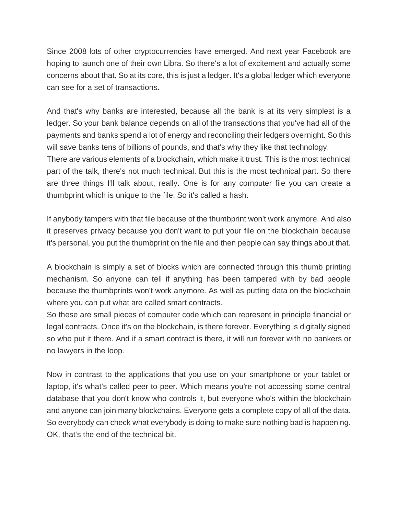Since 2008 lots of other cryptocurrencies have emerged. And next year Facebook are hoping to launch one of their own Libra. So there's a lot of excitement and actually some concerns about that. So at its core, this is just a ledger. It's a global ledger which everyone can see for a set of transactions.

And that's why banks are interested, because all the bank is at its very simplest is a ledger. So your bank balance depends on all of the transactions that you've had all of the payments and banks spend a lot of energy and reconciling their ledgers overnight. So this will save banks tens of billions of pounds, and that's why they like that technology.

There are various elements of a blockchain, which make it trust. This is the most technical part of the talk, there's not much technical. But this is the most technical part. So there are three things I'll talk about, really. One is for any computer file you can create a thumbprint which is unique to the file. So it's called a hash.

If anybody tampers with that file because of the thumbprint won't work anymore. And also it preserves privacy because you don't want to put your file on the blockchain because it's personal, you put the thumbprint on the file and then people can say things about that.

A blockchain is simply a set of blocks which are connected through this thumb printing mechanism. So anyone can tell if anything has been tampered with by bad people because the thumbprints won't work anymore. As well as putting data on the blockchain where you can put what are called smart contracts.

So these are small pieces of computer code which can represent in principle financial or legal contracts. Once it's on the blockchain, is there forever. Everything is digitally signed so who put it there. And if a smart contract is there, it will run forever with no bankers or no lawyers in the loop.

Now in contrast to the applications that you use on your smartphone or your tablet or laptop, it's what's called peer to peer. Which means you're not accessing some central database that you don't know who controls it, but everyone who's within the blockchain and anyone can join many blockchains. Everyone gets a complete copy of all of the data. So everybody can check what everybody is doing to make sure nothing bad is happening. OK, that's the end of the technical bit.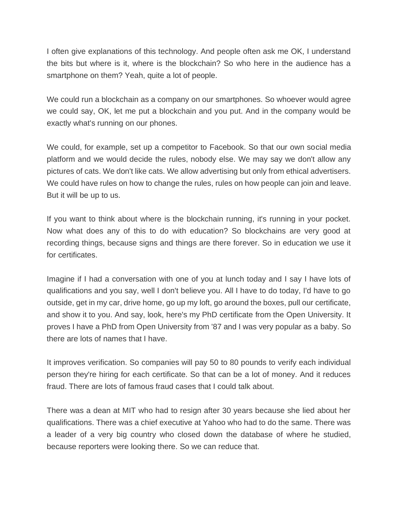I often give explanations of this technology. And people often ask me OK, I understand the bits but where is it, where is the blockchain? So who here in the audience has a smartphone on them? Yeah, quite a lot of people.

We could run a blockchain as a company on our smartphones. So whoever would agree we could say, OK, let me put a blockchain and you put. And in the company would be exactly what's running on our phones.

We could, for example, set up a competitor to Facebook. So that our own social media platform and we would decide the rules, nobody else. We may say we don't allow any pictures of cats. We don't like cats. We allow advertising but only from ethical advertisers. We could have rules on how to change the rules, rules on how people can join and leave. But it will be up to us.

If you want to think about where is the blockchain running, it's running in your pocket. Now what does any of this to do with education? So blockchains are very good at recording things, because signs and things are there forever. So in education we use it for certificates.

Imagine if I had a conversation with one of you at lunch today and I say I have lots of qualifications and you say, well I don't believe you. All I have to do today, I'd have to go outside, get in my car, drive home, go up my loft, go around the boxes, pull our certificate, and show it to you. And say, look, here's my PhD certificate from the Open University. It proves I have a PhD from Open University from '87 and I was very popular as a baby. So there are lots of names that I have.

It improves verification. So companies will pay 50 to 80 pounds to verify each individual person they're hiring for each certificate. So that can be a lot of money. And it reduces fraud. There are lots of famous fraud cases that I could talk about.

There was a dean at MIT who had to resign after 30 years because she lied about her qualifications. There was a chief executive at Yahoo who had to do the same. There was a leader of a very big country who closed down the database of where he studied, because reporters were looking there. So we can reduce that.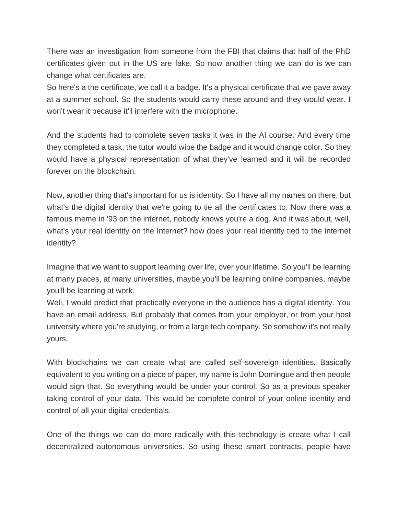There was an investigation from someone from the FBI that claims that half of the PhD certificates given out in the US are fake. So now another thing we can do is we can change what certificates are.

So here's a the certificate, we call it a badge. It's a physical certificate that we gave away at a summer school. So the students would carry these around and they would wear. I won't wear it because it'll interfere with the microphone.

And the students had to complete seven tasks it was in the AI course. And every time they completed a task, the tutor would wipe the badge and it would change color. So they would have a physical representation of what they've learned and it will be recorded forever on the blockchain.

Now, another thing that's important for us is identity. So I have all my names on there, but what's the digital identity that we're going to tie all the certificates to. Now there was a famous meme in '93 on the internet, nobody knows you're a dog. And it was about, well, what's your real identity on the Internet? how does your real identity tied to the internet identity?

Imagine that we want to support learning over life, over your lifetime. So you'll be learning at many places, at many universities, maybe you'll be learning online companies, maybe you'll be learning at work.

Well, I would predict that practically everyone in the audience has a digital identity. You have an email address. But probably that comes from your employer, or from your host university where you're studying, or from a large tech company. So somehow it's not really yours.

With blockchains we can create what are called self-sovereign identities. Basically equivalent to you writing on a piece of paper, my name is John Domingue and then people would sign that. So everything would be under your control. So as a previous speaker taking control of your data. This would be complete control of your online identity and control of all your digital credentials.

One of the things we can do more radically with this technology is create what I call decentralized autonomous universities. So using these smart contracts, people have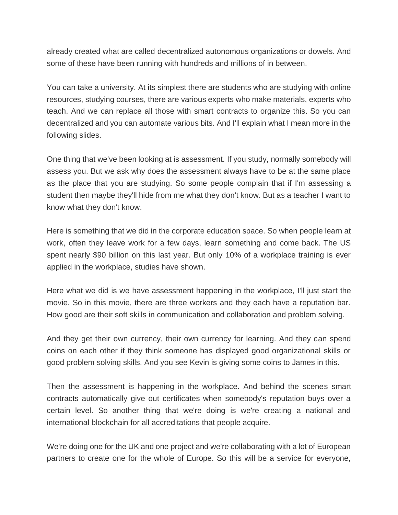already created what are called decentralized autonomous organizations or dowels. And some of these have been running with hundreds and millions of in between.

You can take a university. At its simplest there are students who are studying with online resources, studying courses, there are various experts who make materials, experts who teach. And we can replace all those with smart contracts to organize this. So you can decentralized and you can automate various bits. And I'll explain what I mean more in the following slides.

One thing that we've been looking at is assessment. If you study, normally somebody will assess you. But we ask why does the assessment always have to be at the same place as the place that you are studying. So some people complain that if I'm assessing a student then maybe they'll hide from me what they don't know. But as a teacher I want to know what they don't know.

Here is something that we did in the corporate education space. So when people learn at work, often they leave work for a few days, learn something and come back. The US spent nearly \$90 billion on this last year. But only 10% of a workplace training is ever applied in the workplace, studies have shown.

Here what we did is we have assessment happening in the workplace, I'll just start the movie. So in this movie, there are three workers and they each have a reputation bar. How good are their soft skills in communication and collaboration and problem solving.

And they get their own currency, their own currency for learning. And they can spend coins on each other if they think someone has displayed good organizational skills or good problem solving skills. And you see Kevin is giving some coins to James in this.

Then the assessment is happening in the workplace. And behind the scenes smart contracts automatically give out certificates when somebody's reputation buys over a certain level. So another thing that we're doing is we're creating a national and international blockchain for all accreditations that people acquire.

We're doing one for the UK and one project and we're collaborating with a lot of European partners to create one for the whole of Europe. So this will be a service for everyone,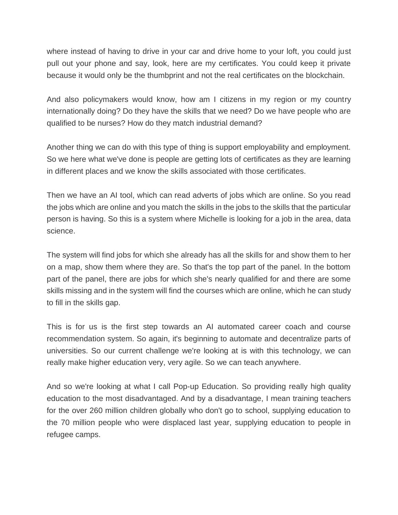where instead of having to drive in your car and drive home to your loft, you could just pull out your phone and say, look, here are my certificates. You could keep it private because it would only be the thumbprint and not the real certificates on the blockchain.

And also policymakers would know, how am I citizens in my region or my country internationally doing? Do they have the skills that we need? Do we have people who are qualified to be nurses? How do they match industrial demand?

Another thing we can do with this type of thing is support employability and employment. So we here what we've done is people are getting lots of certificates as they are learning in different places and we know the skills associated with those certificates.

Then we have an AI tool, which can read adverts of jobs which are online. So you read the jobs which are online and you match the skills in the jobs to the skills that the particular person is having. So this is a system where Michelle is looking for a job in the area, data science.

The system will find jobs for which she already has all the skills for and show them to her on a map, show them where they are. So that's the top part of the panel. In the bottom part of the panel, there are jobs for which she's nearly qualified for and there are some skills missing and in the system will find the courses which are online, which he can study to fill in the skills gap.

This is for us is the first step towards an AI automated career coach and course recommendation system. So again, it's beginning to automate and decentralize parts of universities. So our current challenge we're looking at is with this technology, we can really make higher education very, very agile. So we can teach anywhere.

And so we're looking at what I call Pop-up Education. So providing really high quality education to the most disadvantaged. And by a disadvantage, I mean training teachers for the over 260 million children globally who don't go to school, supplying education to the 70 million people who were displaced last year, supplying education to people in refugee camps.